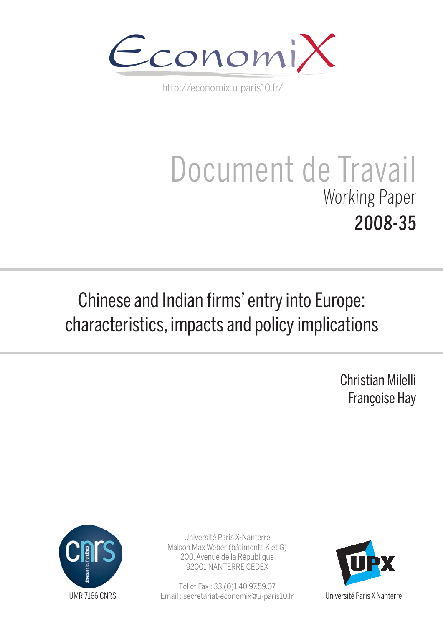

http://economix.u-paris10.fr/

# Document de Travail Working Paper 2008-35

## Chinese and Indian firms' entry into Europe: characteristics, impacts and policy implications

Christian Milelli Françoise Hay



Université Paris X-Nanterre Maison Max Weber (bâtiments K et G) 200, Avenue de la République 92001 NANTERRE CEDEX

Tél et Fax : 33.(0)1.40.97.59.07 Email : secretariat-economix@u-paris10.fr



Université Paris X Nanterre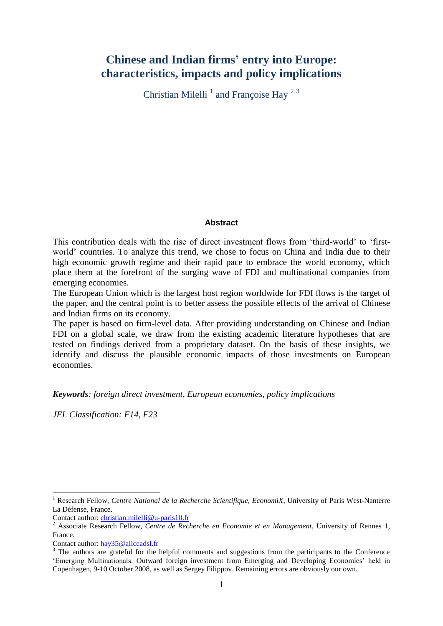## **Chinese and Indian firms' entry into Europe: characteristics, impacts and policy implications**

Christian Milelli<sup>1</sup> and Françoise Hay<sup>23</sup>

#### **Abstract**

This contribution deals with the rise of direct investment flows from 'third-world' to 'firstworld' countries. To analyze this trend, we chose to focus on China and India due to their high economic growth regime and their rapid pace to embrace the world economy, which place them at the forefront of the surging wave of FDI and multinational companies from emerging economies.

The European Union which is the largest host region worldwide for FDI flows is the target of the paper, and the central point is to better assess the possible effects of the arrival of Chinese and Indian firms on its economy.

The paper is based on firm-level data. After providing understanding on Chinese and Indian FDI on a global scale, we draw from the existing academic literature hypotheses that are tested on findings derived from a proprietary dataset. On the basis of these insights, we identify and discuss the plausible economic impacts of those investments on European economies.

*Keywords: foreign direct investment, European economies, policy implications*

*JEL Classification: F14, F23*

<sup>1</sup> Research Fellow, *Centre National de la Recherche Scientifique, EconomiX*, University of Paris West-Nanterre La Défense, France.

Contact author: [christian.milelli@u-paris10.fr](mailto:christian.milelli@u-paris10.fr)

<sup>2</sup> Associate Research Fellow, *Centre de Recherche en Economie et en Management*, University of Rennes 1, France.

Contact author: [hay35@aliceadsl.fr](mailto:hay35@aliceadsl.fr)

<sup>&</sup>lt;sup>3</sup> The authors are grateful for the helpful comments and suggestions from the participants to the Conference ‗Emerging Multinationals: Outward foreign investment from Emerging and Developing Economies' held in Copenhagen, 9-10 October 2008, as well as Sergey Filippov. Remaining errors are obviously our own.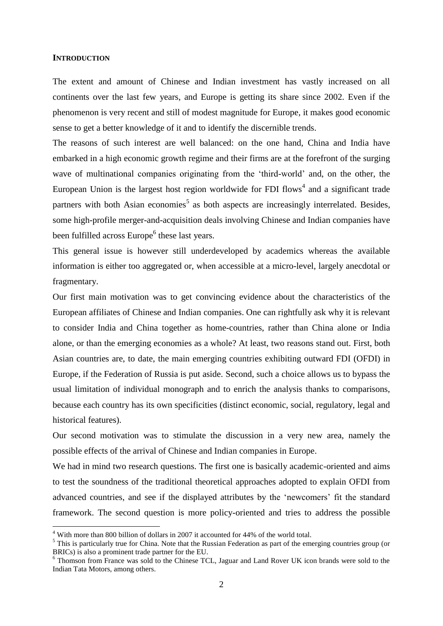#### **INTRODUCTION**

<u>.</u>

The extent and amount of Chinese and Indian investment has vastly increased on all continents over the last few years, and Europe is getting its share since 2002. Even if the phenomenon is very recent and still of modest magnitude for Europe, it makes good economic sense to get a better knowledge of it and to identify the discernible trends.

The reasons of such interest are well balanced: on the one hand, China and India have embarked in a high economic growth regime and their firms are at the forefront of the surging wave of multinational companies originating from the 'third-world' and, on the other, the European Union is the largest host region worldwide for FDI flows<sup>4</sup> and a significant trade partners with both Asian economies<sup>5</sup> as both aspects are increasingly interrelated. Besides, some high-profile merger-and-acquisition deals involving Chinese and Indian companies have been fulfilled across Europe<sup>6</sup> these last years.

This general issue is however still underdeveloped by academics whereas the available information is either too aggregated or, when accessible at a micro-level, largely anecdotal or fragmentary.

Our first main motivation was to get convincing evidence about the characteristics of the European affiliates of Chinese and Indian companies. One can rightfully ask why it is relevant to consider India and China together as home-countries, rather than China alone or India alone, or than the emerging economies as a whole? At least, two reasons stand out. First, both Asian countries are, to date, the main emerging countries exhibiting outward FDI (OFDI) in Europe, if the Federation of Russia is put aside. Second, such a choice allows us to bypass the usual limitation of individual monograph and to enrich the analysis thanks to comparisons, because each country has its own specificities (distinct economic, social, regulatory, legal and historical features).

Our second motivation was to stimulate the discussion in a very new area, namely the possible effects of the arrival of Chinese and Indian companies in Europe.

We had in mind two research questions. The first one is basically academic-oriented and aims to test the soundness of the traditional theoretical approaches adopted to explain OFDI from advanced countries, and see if the displayed attributes by the 'newcomers' fit the standard framework. The second question is more policy-oriented and tries to address the possible

<sup>4</sup> With more than 800 billion of dollars in 2007 it accounted for 44% of the world total.

<sup>&</sup>lt;sup>5</sup> This is particularly true for China. Note that the Russian Federation as part of the emerging countries group (or BRICs) is also a prominent trade partner for the EU.

<sup>6</sup> Thomson from France was sold to the Chinese TCL, Jaguar and Land Rover UK icon brands were sold to the Indian Tata Motors, among others.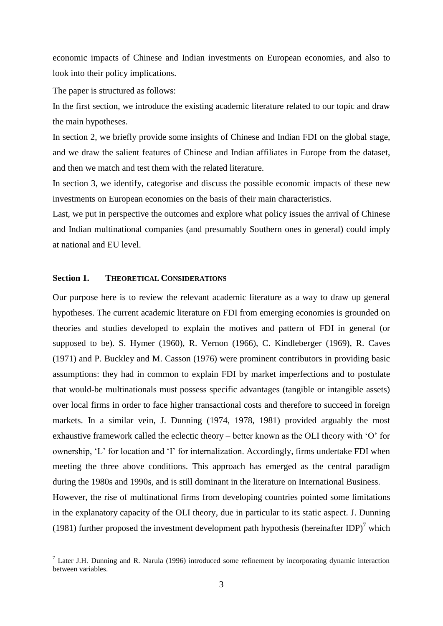economic impacts of Chinese and Indian investments on European economies, and also to look into their policy implications.

The paper is structured as follows:

In the first section, we introduce the existing academic literature related to our topic and draw the main hypotheses.

In section 2, we briefly provide some insights of Chinese and Indian FDI on the global stage, and we draw the salient features of Chinese and Indian affiliates in Europe from the dataset, and then we match and test them with the related literature.

In section 3, we identify, categorise and discuss the possible economic impacts of these new investments on European economies on the basis of their main characteristics.

Last, we put in perspective the outcomes and explore what policy issues the arrival of Chinese and Indian multinational companies (and presumably Southern ones in general) could imply at national and EU level.

#### **Section 1. THEORETICAL CONSIDERATIONS**

<u>.</u>

Our purpose here is to review the relevant academic literature as a way to draw up general hypotheses. The current academic literature on FDI from emerging economies is grounded on theories and studies developed to explain the motives and pattern of FDI in general (or supposed to be). S. Hymer (1960), R. Vernon (1966), C. Kindleberger (1969), R. Caves (1971) and P. Buckley and M. Casson (1976) were prominent contributors in providing basic assumptions: they had in common to explain FDI by market imperfections and to postulate that would-be multinationals must possess specific advantages (tangible or intangible assets) over local firms in order to face higher transactional costs and therefore to succeed in foreign markets. In a similar vein, J. Dunning (1974, 1978, 1981) provided arguably the most exhaustive framework called the eclectic theory – better known as the OLI theory with  $\degree$ O' for ownership, 'L' for location and 'I' for internalization. Accordingly, firms undertake FDI when meeting the three above conditions. This approach has emerged as the central paradigm during the 1980s and 1990s, and is still dominant in the literature on International Business. However, the rise of multinational firms from developing countries pointed some limitations in the explanatory capacity of the OLI theory, due in particular to its static aspect. J. Dunning

(1981) further proposed the investment development path hypothesis (hereinafter IDP)<sup>7</sup> which

 $<sup>7</sup>$  Later J.H. Dunning and R. Narula (1996) introduced some refinement by incorporating dynamic interaction</sup> between variables.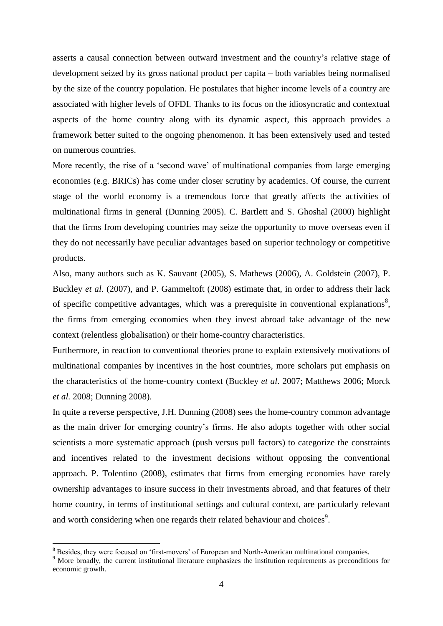asserts a causal connection between outward investment and the country's relative stage of development seized by its gross national product per capita – both variables being normalised by the size of the country population. He postulates that higher income levels of a country are associated with higher levels of OFDI. Thanks to its focus on the idiosyncratic and contextual aspects of the home country along with its dynamic aspect, this approach provides a framework better suited to the ongoing phenomenon. It has been extensively used and tested on numerous countries.

More recently, the rise of a 'second wave' of multinational companies from large emerging economies (e.g. BRICs) has come under closer scrutiny by academics. Of course, the current stage of the world economy is a tremendous force that greatly affects the activities of multinational firms in general (Dunning 2005). C. Bartlett and S. Ghoshal (2000) highlight that the firms from developing countries may seize the opportunity to move overseas even if they do not necessarily have peculiar advantages based on superior technology or competitive products.

Also, many authors such as K. Sauvant (2005), S. Mathews (2006), A. Goldstein (2007), P. Buckley *et al*. (2007), and P. Gammeltoft (2008) estimate that, in order to address their lack of specific competitive advantages, which was a prerequisite in conventional explanations<sup>8</sup>, the firms from emerging economies when they invest abroad take advantage of the new context (relentless globalisation) or their home-country characteristics.

Furthermore, in reaction to conventional theories prone to explain extensively motivations of multinational companies by incentives in the host countries, more scholars put emphasis on the characteristics of the home-country context (Buckley *et al*. 2007; Matthews 2006; Morck *et al.* 2008; Dunning 2008).

In quite a reverse perspective, J.H. Dunning (2008) sees the home-country common advantage as the main driver for emerging country's firms. He also adopts together with other social scientists a more systematic approach (push versus pull factors) to categorize the constraints and incentives related to the investment decisions without opposing the conventional approach. P. Tolentino (2008), estimates that firms from emerging economies have rarely ownership advantages to insure success in their investments abroad, and that features of their home country, in terms of institutional settings and cultural context, are particularly relevant and worth considering when one regards their related behaviour and choices<sup>9</sup>.

<sup>&</sup>lt;sup>8</sup> Besides, they were focused on 'first-movers' of European and North-American multinational companies.

<sup>&</sup>lt;sup>9</sup> More broadly, the current institutional literature emphasizes the institution requirements as preconditions for economic growth.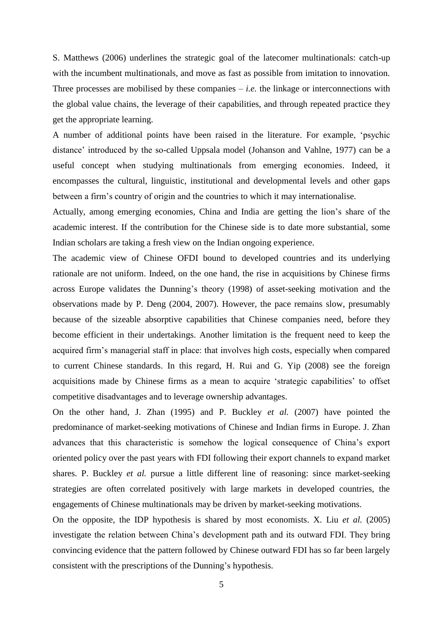S. Matthews (2006) underlines the strategic goal of the latecomer multinationals: catch-up with the incumbent multinationals, and move as fast as possible from imitation to innovation. Three processes are mobilised by these companies  $-i.e.$  the linkage or interconnections with the global value chains, the leverage of their capabilities, and through repeated practice they get the appropriate learning.

A number of additional points have been raised in the literature. For example, 'psychic distance' introduced by the so-called Uppsala model (Johanson and Vahlne, 1977) can be a useful concept when studying multinationals from emerging economies. Indeed, it encompasses the cultural, linguistic, institutional and developmental levels and other gaps between a firm's country of origin and the countries to which it may internationalise.

Actually, among emerging economies, China and India are getting the lion's share of the academic interest. If the contribution for the Chinese side is to date more substantial, some Indian scholars are taking a fresh view on the Indian ongoing experience.

The academic view of Chinese OFDI bound to developed countries and its underlying rationale are not uniform. Indeed, on the one hand, the rise in acquisitions by Chinese firms across Europe validates the Dunning's theory (1998) of asset-seeking motivation and the observations made by P. Deng (2004, 2007). However, the pace remains slow, presumably because of the sizeable absorptive capabilities that Chinese companies need, before they become efficient in their undertakings. Another limitation is the frequent need to keep the acquired firm's managerial staff in place: that involves high costs, especially when compared to current Chinese standards. In this regard, H. Rui and G. Yip (2008) see the foreign acquisitions made by Chinese firms as a mean to acquire 'strategic capabilities' to offset competitive disadvantages and to leverage ownership advantages.

On the other hand, J. Zhan (1995) and P. Buckley *et al.* (2007) have pointed the predominance of market-seeking motivations of Chinese and Indian firms in Europe. J. Zhan advances that this characteristic is somehow the logical consequence of China's export oriented policy over the past years with FDI following their export channels to expand market shares. P. Buckley *et al.* pursue a little different line of reasoning: since market-seeking strategies are often correlated positively with large markets in developed countries, the engagements of Chinese multinationals may be driven by market-seeking motivations.

On the opposite, the IDP hypothesis is shared by most economists. X. Liu *et al.* (2005) investigate the relation between China's development path and its outward FDI. They bring convincing evidence that the pattern followed by Chinese outward FDI has so far been largely consistent with the prescriptions of the Dunning's hypothesis.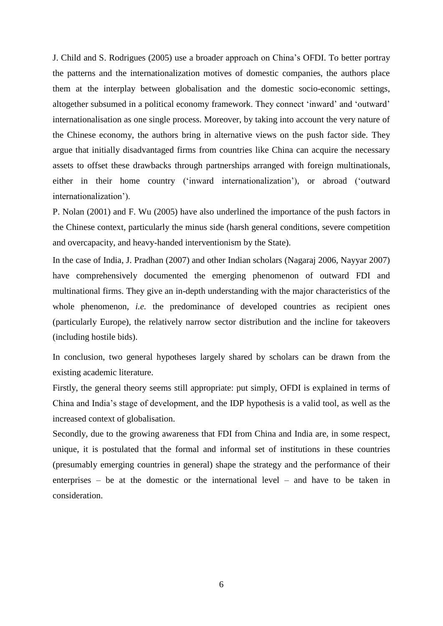J. Child and S. Rodrigues (2005) use a broader approach on China's OFDI. To better portray the patterns and the internationalization motives of domestic companies, the authors place them at the interplay between globalisation and the domestic socio-economic settings, altogether subsumed in a political economy framework. They connect 'inward' and 'outward' internationalisation as one single process. Moreover, by taking into account the very nature of the Chinese economy, the authors bring in alternative views on the push factor side. They argue that initially disadvantaged firms from countries like China can acquire the necessary assets to offset these drawbacks through partnerships arranged with foreign multinationals, either in their home country ('inward internationalization'), or abroad ('outward internationalization').

P. Nolan (2001) and F. Wu (2005) have also underlined the importance of the push factors in the Chinese context, particularly the minus side (harsh general conditions, severe competition and overcapacity, and heavy-handed interventionism by the State).

In the case of India, J. Pradhan (2007) and other Indian scholars (Nagaraj 2006, Nayyar 2007) have comprehensively documented the emerging phenomenon of outward FDI and multinational firms. They give an in-depth understanding with the major characteristics of the whole phenomenon, *i.e.* the predominance of developed countries as recipient ones (particularly Europe), the relatively narrow sector distribution and the incline for takeovers (including hostile bids).

In conclusion, two general hypotheses largely shared by scholars can be drawn from the existing academic literature.

Firstly, the general theory seems still appropriate: put simply, OFDI is explained in terms of China and India's stage of development, and the IDP hypothesis is a valid tool, as well as the increased context of globalisation.

Secondly, due to the growing awareness that FDI from China and India are, in some respect, unique, it is postulated that the formal and informal set of institutions in these countries (presumably emerging countries in general) shape the strategy and the performance of their enterprises – be at the domestic or the international level – and have to be taken in consideration.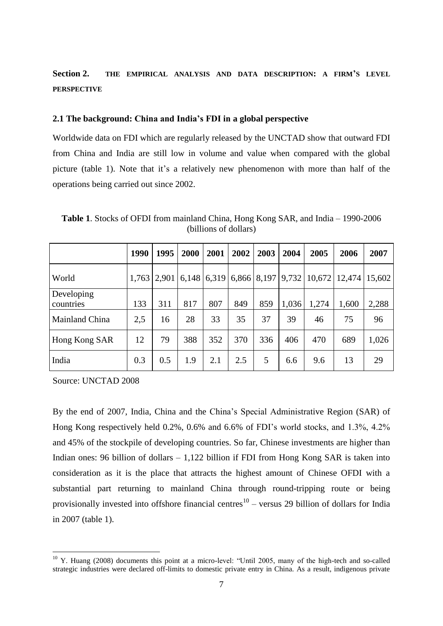### **Section 2. THE EMPIRICAL ANALYSIS AND DATA DESCRIPTION: A FIRM'S LEVEL PERSPECTIVE**

#### **2.1 The background: China and India's FDI in a global perspective**

Worldwide data on FDI which are regularly released by the UNCTAD show that outward FDI from China and India are still low in volume and value when compared with the global picture (table 1). Note that it's a relatively new phenomenon with more than half of the operations being carried out since 2002.

|                         | 1990  | 1995  | 2000                              | 2001 | 2002 | 2003 | 2004  | 2005  | 2006                       | 2007  |
|-------------------------|-------|-------|-----------------------------------|------|------|------|-------|-------|----------------------------|-------|
| World                   | 1,763 | 2,901 | $(6,148)$ 6,319 6,866 8,197 9,732 |      |      |      |       |       | $10,672$   12,474   15,602 |       |
| Developing<br>countries | 133   | 311   | 817                               | 807  | 849  | 859  | 1,036 | 1,274 | 1,600                      | 2,288 |
| <b>Mainland China</b>   | 2,5   | 16    | 28                                | 33   | 35   | 37   | 39    | 46    | 75                         | 96    |
| Hong Kong SAR           | 12    | 79    | 388                               | 352  | 370  | 336  | 406   | 470   | 689                        | 1,026 |
| India                   | 0.3   | 0.5   | 1.9                               | 2.1  | 2.5  | 5    | 6.6   | 9.6   | 13                         | 29    |

**Table 1**. Stocks of OFDI from mainland China, Hong Kong SAR, and India – 1990-2006 (billions of dollars)

Source: UNCTAD 2008

<u>.</u>

By the end of 2007, India, China and the China's Special Administrative Region (SAR) of Hong Kong respectively held 0.2%, 0.6% and 6.6% of FDI's world stocks, and 1.3%, 4.2% and 45% of the stockpile of developing countries. So far, Chinese investments are higher than Indian ones: 96 billion of dollars – 1,122 billion if FDI from Hong Kong SAR is taken into consideration as it is the place that attracts the highest amount of Chinese OFDI with a substantial part returning to mainland China through round-tripping route or being provisionally invested into offshore financial centres<sup>10</sup> – versus 29 billion of dollars for India in 2007 (table 1).

 $10$  Y. Huang (2008) documents this point at a micro-level: "Until 2005, many of the high-tech and so-called strategic industries were declared off-limits to domestic private entry in China. As a result, indigenous private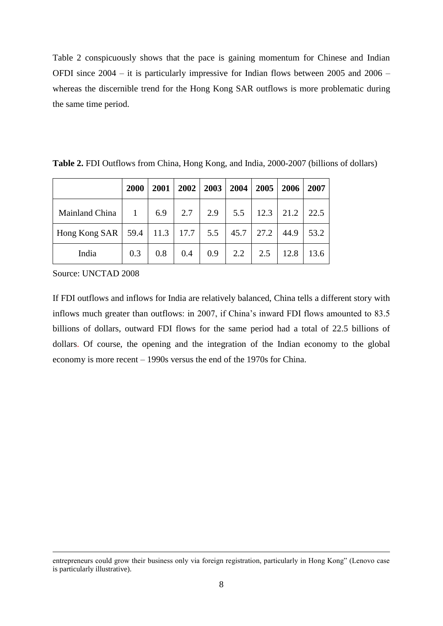Table 2 conspicuously shows that the pace is gaining momentum for Chinese and Indian OFDI since 2004 – it is particularly impressive for Indian flows between 2005 and 2006 – whereas the discernible trend for the Hong Kong SAR outflows is more problematic during the same time period.

|                                                                      | 2000 | 2001 |     | $2002$   2003   2004   2005 |                   | 2006         | 2007 |
|----------------------------------------------------------------------|------|------|-----|-----------------------------|-------------------|--------------|------|
| Mainland China   1   6.9   2.7   2.9   5.5   12.3   21.2             |      |      |     |                             |                   |              | 22.5 |
| Hong Kong SAR   59.4   11.3   17.7   5.5   45.7   27.2   44.9   53.2 |      |      |     |                             |                   |              |      |
| India                                                                | 0.3  | 0.8  | 0.4 |                             | $0.9$   2.2   2.5 | $\vert$ 12.8 | 13.6 |

**Table 2.** FDI Outflows from China, Hong Kong, and India, 2000-2007 (billions of dollars)

Source: UNCTAD 2008

 $\overline{a}$ 

If FDI outflows and inflows for India are relatively balanced, China tells a different story with inflows much greater than outflows: in 2007, if China's inward FDI flows amounted to 83.5 billions of dollars, outward FDI flows for the same period had a total of 22.5 billions of dollars. Of course, the opening and the integration of the Indian economy to the global economy is more recent – 1990s versus the end of the 1970s for China.

entrepreneurs could grow their business only via foreign registration, particularly in Hong Kong" (Lenovo case is particularly illustrative).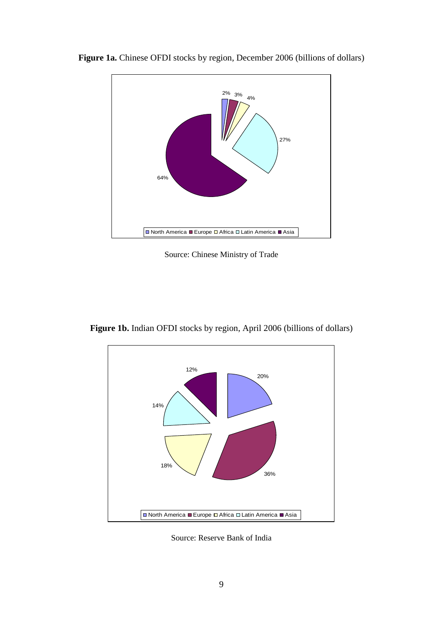

**Figure 1a.** Chinese OFDI stocks by region, December 2006 (billions of dollars)

Source: Chinese Ministry of Trade

**Figure 1b.** Indian OFDI stocks by region, April 2006 (billions of dollars)



Source: Reserve Bank of India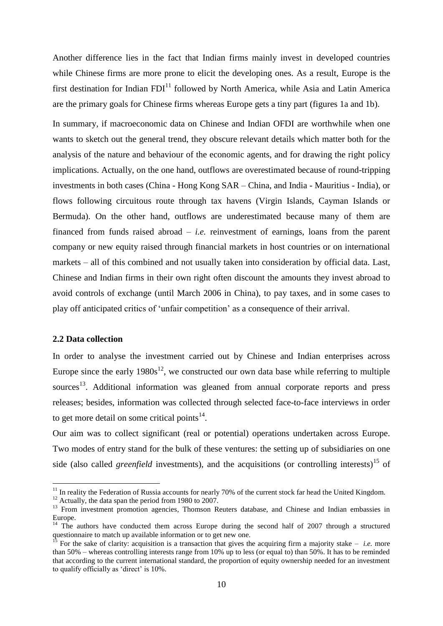Another difference lies in the fact that Indian firms mainly invest in developed countries while Chinese firms are more prone to elicit the developing ones. As a result, Europe is the first destination for Indian  $FDI<sup>11</sup>$  followed by North America, while Asia and Latin America are the primary goals for Chinese firms whereas Europe gets a tiny part (figures 1a and 1b).

In summary, if macroeconomic data on Chinese and Indian OFDI are worthwhile when one wants to sketch out the general trend, they obscure relevant details which matter both for the analysis of the nature and behaviour of the economic agents, and for drawing the right policy implications. Actually, on the one hand, outflows are overestimated because of round-tripping investments in both cases (China - Hong Kong SAR – China, and India - Mauritius - India), or flows following circuitous route through tax havens (Virgin Islands, Cayman Islands or Bermuda). On the other hand, outflows are underestimated because many of them are financed from funds raised abroad – *i.e.* reinvestment of earnings, loans from the parent company or new equity raised through financial markets in host countries or on international markets – all of this combined and not usually taken into consideration by official data. Last, Chinese and Indian firms in their own right often discount the amounts they invest abroad to avoid controls of exchange (until March 2006 in China), to pay taxes, and in some cases to play off anticipated critics of 'unfair competition' as a consequence of their arrival.

#### **2.2 Data collection**

1

In order to analyse the investment carried out by Chinese and Indian enterprises across Europe since the early  $1980s^{12}$ , we constructed our own data base while referring to multiple sources<sup>13</sup>. Additional information was gleaned from annual corporate reports and press releases; besides, information was collected through selected face-to-face interviews in order to get more detail on some critical points $14$ .

Our aim was to collect significant (real or potential) operations undertaken across Europe. Two modes of entry stand for the bulk of these ventures: the setting up of subsidiaries on one side (also called *greenfield* investments), and the acquisitions (or controlling interests)<sup>15</sup> of

 $11$  In reality the Federation of Russia accounts for nearly 70% of the current stock far head the United Kingdom.

<sup>&</sup>lt;sup>12</sup> Actually, the data span the period from 1980 to 2007.

<sup>&</sup>lt;sup>13</sup> From investment promotion agencies, Thomson Reuters database, and Chinese and Indian embassies in Europe.

<sup>&</sup>lt;sup>14</sup> The authors have conducted them across Europe during the second half of 2007 through a structured questionnaire to match up available information or to get new one.

For the sake of clarity: acquisition is a transaction that gives the acquiring firm a majority stake  $-$  *i.e.* more than 50% – whereas controlling interests range from 10% up to less (or equal to) than 50%. It has to be reminded that according to the current international standard, the proportion of equity ownership needed for an investment to qualify officially as 'direct' is 10%.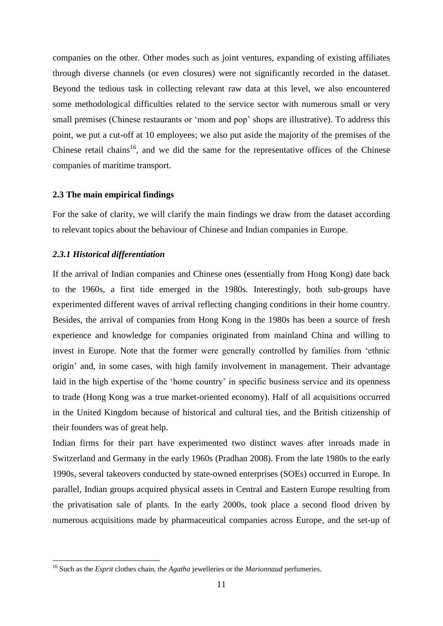companies on the other. Other modes such as joint ventures, expanding of existing affiliates through diverse channels (or even closures) were not significantly recorded in the dataset. Beyond the tedious task in collecting relevant raw data at this level, we also encountered some methodological difficulties related to the service sector with numerous small or very small premises (Chinese restaurants or 'mom and pop' shops are illustrative). To address this point, we put a cut-off at 10 employees; we also put aside the majority of the premises of the Chinese retail chains<sup>16</sup>, and we did the same for the representative offices of the Chinese companies of maritime transport.

#### **2.3 The main empirical findings**

For the sake of clarity, we will clarify the main findings we draw from the dataset according to relevant topics about the behaviour of Chinese and Indian companies in Europe.

#### *2.3.1 Historical differentiation*

1

If the arrival of Indian companies and Chinese ones (essentially from Hong Kong) date back to the 1960s, a first tide emerged in the 1980s. Interestingly, both sub-groups have experimented different waves of arrival reflecting changing conditions in their home country. Besides, the arrival of companies from Hong Kong in the 1980s has been a source of fresh experience and knowledge for companies originated from mainland China and willing to invest in Europe. Note that the former were generally controlled by families from 'ethnic origin' and, in some cases, with high family involvement in management. Their advantage laid in the high expertise of the 'home country' in specific business service and its openness to trade (Hong Kong was a true market-oriented economy). Half of all acquisitions occurred in the United Kingdom because of historical and cultural ties, and the British citizenship of their founders was of great help.

Indian firms for their part have experimented two distinct waves after inroads made in Switzerland and Germany in the early 1960s (Pradhan 2008). From the late 1980s to the early 1990s, several takeovers conducted by state-owned enterprises (SOEs) occurred in Europe. In parallel, Indian groups acquired physical assets in Central and Eastern Europe resulting from the privatisation sale of plants. In the early 2000s, took place a second flood driven by numerous acquisitions made by pharmaceutical companies across Europe, and the set-up of

<sup>16</sup> Such as the *Esprit* clothes chain, the *Agatha* jewelleries or the *Marionnaud* perfumeries.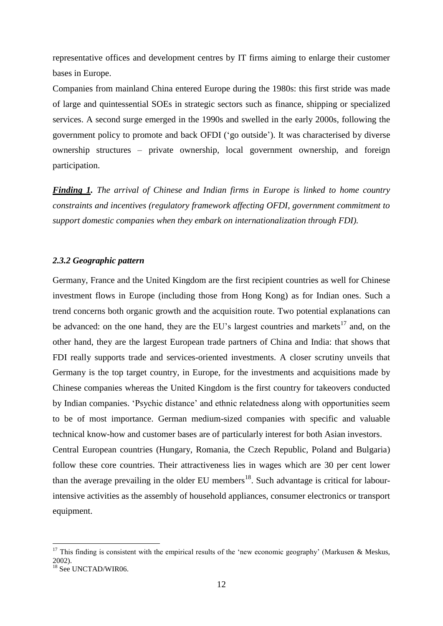representative offices and development centres by IT firms aiming to enlarge their customer bases in Europe.

Companies from mainland China entered Europe during the 1980s: this first stride was made of large and quintessential SOEs in strategic sectors such as finance, shipping or specialized services. A second surge emerged in the 1990s and swelled in the early 2000s, following the government policy to promote and back OFDI (‗go outside'). It was characterised by diverse ownership structures – private ownership, local government ownership, and foreign participation.

*Finding 1. The arrival of Chinese and Indian firms in Europe is linked to home country constraints and incentives (regulatory framework affecting OFDI, government commitment to support domestic companies when they embark on internationalization through FDI).*

#### *2.3.2 Geographic pattern*

Germany, France and the United Kingdom are the first recipient countries as well for Chinese investment flows in Europe (including those from Hong Kong) as for Indian ones. Such a trend concerns both organic growth and the acquisition route. Two potential explanations can be advanced: on the one hand, they are the EU's largest countries and markets<sup>17</sup> and, on the other hand, they are the largest European trade partners of China and India: that shows that FDI really supports trade and services-oriented investments. A closer scrutiny unveils that Germany is the top target country, in Europe, for the investments and acquisitions made by Chinese companies whereas the United Kingdom is the first country for takeovers conducted by Indian companies. ‗Psychic distance' and ethnic relatedness along with opportunities seem to be of most importance. German medium-sized companies with specific and valuable technical know-how and customer bases are of particularly interest for both Asian investors.

Central European countries (Hungary, Romania, the Czech Republic, Poland and Bulgaria) follow these core countries. Their attractiveness lies in wages which are 30 per cent lower than the average prevailing in the older EU members<sup>18</sup>. Such advantage is critical for labourintensive activities as the assembly of household appliances, consumer electronics or transport equipment.

<sup>&</sup>lt;sup>17</sup> This finding is consistent with the empirical results of the 'new economic geography' (Markusen & Meskus, 2002).

<sup>&</sup>lt;sup>18</sup> See UNCTAD/WIR06.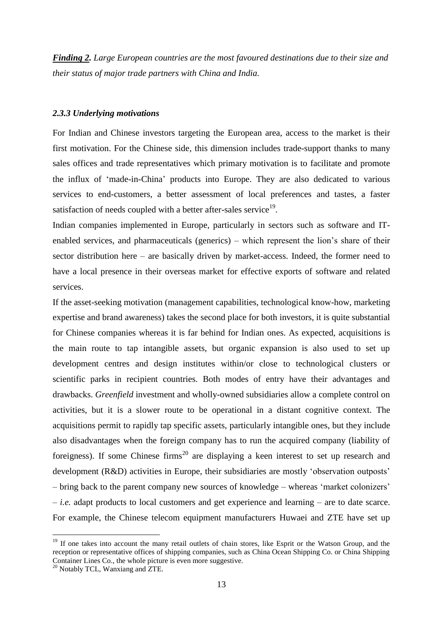*Finding 2. Large European countries are the most favoured destinations due to their size and their status of major trade partners with China and India.*

#### *2.3.3 Underlying motivations*

For Indian and Chinese investors targeting the European area, access to the market is their first motivation. For the Chinese side, this dimension includes trade-support thanks to many sales offices and trade representatives which primary motivation is to facilitate and promote the influx of ‗made-in-China' products into Europe. They are also dedicated to various services to end-customers, a better assessment of local preferences and tastes, a faster satisfaction of needs coupled with a better after-sales service<sup>19</sup>.

Indian companies implemented in Europe, particularly in sectors such as software and ITenabled services, and pharmaceuticals (generics) – which represent the lion's share of their sector distribution here – are basically driven by market-access. Indeed, the former need to have a local presence in their overseas market for effective exports of software and related services.

If the asset-seeking motivation (management capabilities, technological know-how, marketing expertise and brand awareness) takes the second place for both investors, it is quite substantial for Chinese companies whereas it is far behind for Indian ones. As expected, acquisitions is the main route to tap intangible assets, but organic expansion is also used to set up development centres and design institutes within/or close to technological clusters or scientific parks in recipient countries. Both modes of entry have their advantages and drawbacks. *Greenfield* investment and wholly-owned subsidiaries allow a complete control on activities, but it is a slower route to be operational in a distant cognitive context. The acquisitions permit to rapidly tap specific assets, particularly intangible ones, but they include also disadvantages when the foreign company has to run the acquired company (liability of foreigness). If some Chinese firms<sup>20</sup> are displaying a keen interest to set up research and development (R&D) activities in Europe, their subsidiaries are mostly 'observation outposts' – bring back to the parent company new sources of knowledge – whereas ‗market colonizers' – *i.e.* adapt products to local customers and get experience and learning – are to date scarce. For example, the Chinese telecom equipment manufacturers Huwaei and ZTE have set up

<sup>&</sup>lt;sup>19</sup> If one takes into account the many retail outlets of chain stores, like Esprit or the Watson Group, and the reception or representative offices of shipping companies, such as China Ocean Shipping Co. or China Shipping Container Lines Co., the whole picture is even more suggestive.

 $20$  Notably TCL, Wanxiang and ZTE.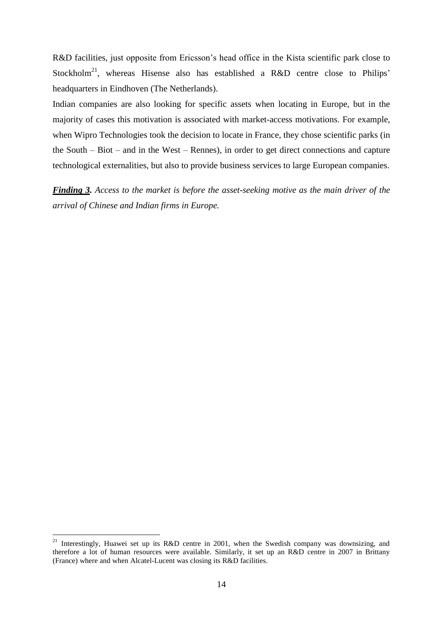R&D facilities, just opposite from Ericsson's head office in the Kista scientific park close to Stockholm<sup>21</sup>, whereas Hisense also has established a R&D centre close to Philips' headquarters in Eindhoven (The Netherlands).

Indian companies are also looking for specific assets when locating in Europe, but in the majority of cases this motivation is associated with market-access motivations. For example, when Wipro Technologies took the decision to locate in France, they chose scientific parks (in the South – Biot – and in the West – Rennes), in order to get direct connections and capture technological externalities, but also to provide business services to large European companies.

*Finding 3. Access to the market is before the asset-seeking motive as the main driver of the arrival of Chinese and Indian firms in Europe.*

<sup>&</sup>lt;sup>21</sup> Interestingly, Huawei set up its R&D centre in 2001, when the Swedish company was downsizing, and therefore a lot of human resources were available. Similarly, it set up an R&D centre in 2007 in Brittany (France) where and when Alcatel-Lucent was closing its R&D facilities.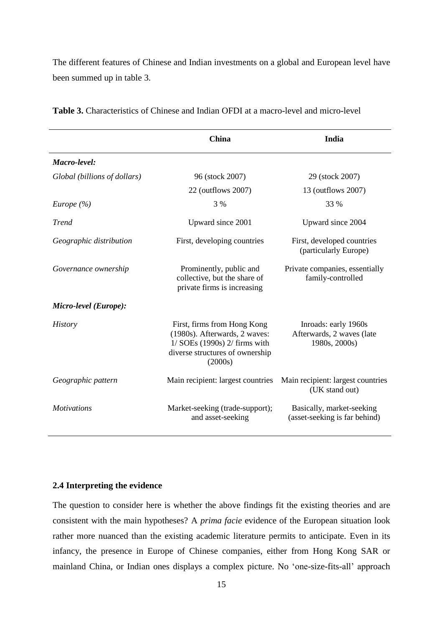The different features of Chinese and Indian investments on a global and European level have been summed up in table 3.

|                              | China                                                                                                                                           | India                                                              |
|------------------------------|-------------------------------------------------------------------------------------------------------------------------------------------------|--------------------------------------------------------------------|
| Macro-level:                 |                                                                                                                                                 |                                                                    |
| Global (billions of dollars) | 96 (stock 2007)                                                                                                                                 | 29 (stock 2007)                                                    |
|                              | 22 (outflows 2007)                                                                                                                              | 13 (outflows 2007)                                                 |
| Europe $(\% )$               | 3 %                                                                                                                                             | 33 %                                                               |
| <b>Trend</b>                 | Upward since 2001                                                                                                                               | Upward since 2004                                                  |
| Geographic distribution      | First, developing countries                                                                                                                     | First, developed countries<br>(particularly Europe)                |
| Governance ownership         | Prominently, public and<br>collective, but the share of<br>private firms is increasing                                                          | Private companies, essentially<br>family-controlled                |
| Micro-level (Europe):        |                                                                                                                                                 |                                                                    |
| <b>History</b>               | First, firms from Hong Kong<br>(1980s). Afterwards, 2 waves:<br>$1/$ SOEs (1990s) $2/$ firms with<br>diverse structures of ownership<br>(2000s) | Inroads: early 1960s<br>Afterwards, 2 waves (late<br>1980s, 2000s) |
| Geographic pattern           | Main recipient: largest countries                                                                                                               | Main recipient: largest countries<br>(UK stand out)                |
| <b>Motivations</b>           | Market-seeking (trade-support);<br>and asset-seeking                                                                                            | Basically, market-seeking<br>(asset-seeking is far behind)         |

**Table 3.** Characteristics of Chinese and Indian OFDI at a macro-level and micro-level

#### **2.4 Interpreting the evidence**

The question to consider here is whether the above findings fit the existing theories and are consistent with the main hypotheses? A *prima facie* evidence of the European situation look rather more nuanced than the existing academic literature permits to anticipate. Even in its infancy, the presence in Europe of Chinese companies, either from Hong Kong SAR or mainland China, or Indian ones displays a complex picture. No 'one-size-fits-all' approach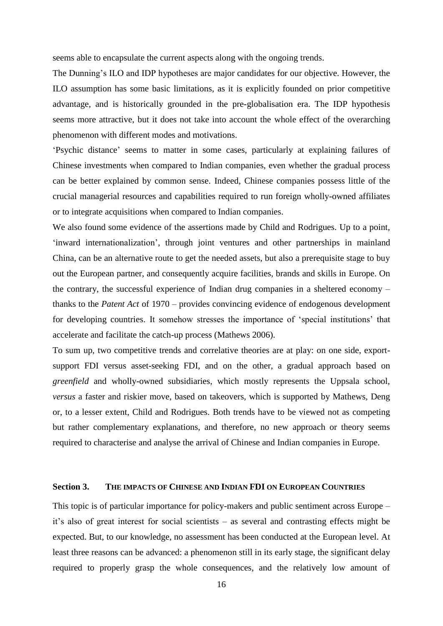seems able to encapsulate the current aspects along with the ongoing trends.

The Dunning's ILO and IDP hypotheses are major candidates for our objective. However, the ILO assumption has some basic limitations, as it is explicitly founded on prior competitive advantage, and is historically grounded in the pre-globalisation era. The IDP hypothesis seems more attractive, but it does not take into account the whole effect of the overarching phenomenon with different modes and motivations.

‗Psychic distance' seems to matter in some cases, particularly at explaining failures of Chinese investments when compared to Indian companies, even whether the gradual process can be better explained by common sense. Indeed, Chinese companies possess little of the crucial managerial resources and capabilities required to run foreign wholly-owned affiliates or to integrate acquisitions when compared to Indian companies.

We also found some evidence of the assertions made by Child and Rodrigues. Up to a point, ‗inward internationalization', through joint ventures and other partnerships in mainland China, can be an alternative route to get the needed assets, but also a prerequisite stage to buy out the European partner, and consequently acquire facilities, brands and skills in Europe. On the contrary, the successful experience of Indian drug companies in a sheltered economy – thanks to the *Patent Act* of 1970 – provides convincing evidence of endogenous development for developing countries. It somehow stresses the importance of ‗special institutions' that accelerate and facilitate the catch-up process (Mathews 2006).

To sum up, two competitive trends and correlative theories are at play: on one side, exportsupport FDI versus asset-seeking FDI, and on the other, a gradual approach based on *greenfield* and wholly-owned subsidiaries, which mostly represents the Uppsala school, *versus* a faster and riskier move, based on takeovers, which is supported by Mathews, Deng or, to a lesser extent, Child and Rodrigues. Both trends have to be viewed not as competing but rather complementary explanations, and therefore, no new approach or theory seems required to characterise and analyse the arrival of Chinese and Indian companies in Europe.

#### **Section 3. THE IMPACTS OF CHINESE AND INDIAN FDI ON EUROPEAN COUNTRIES**

This topic is of particular importance for policy-makers and public sentiment across Europe – it's also of great interest for social scientists – as several and contrasting effects might be expected. But, to our knowledge, no assessment has been conducted at the European level. At least three reasons can be advanced: a phenomenon still in its early stage, the significant delay required to properly grasp the whole consequences, and the relatively low amount of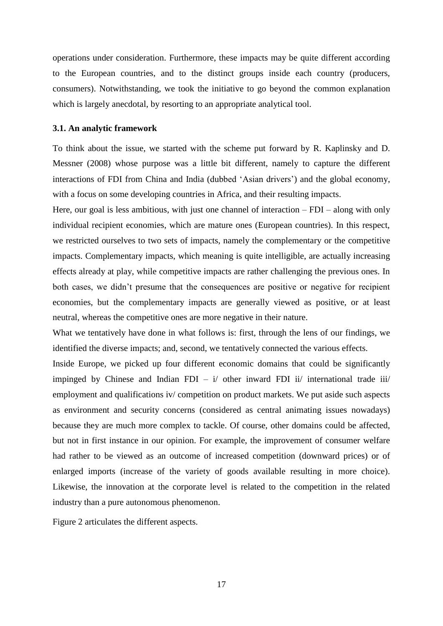operations under consideration. Furthermore, these impacts may be quite different according to the European countries, and to the distinct groups inside each country (producers, consumers). Notwithstanding, we took the initiative to go beyond the common explanation which is largely anecdotal, by resorting to an appropriate analytical tool.

#### **3.1. An analytic framework**

To think about the issue, we started with the scheme put forward by R. Kaplinsky and D. Messner (2008) whose purpose was a little bit different, namely to capture the different interactions of FDI from China and India (dubbed 'Asian drivers') and the global economy, with a focus on some developing countries in Africa, and their resulting impacts.

Here, our goal is less ambitious, with just one channel of interaction – FDI – along with only individual recipient economies, which are mature ones (European countries). In this respect, we restricted ourselves to two sets of impacts, namely the complementary or the competitive impacts. Complementary impacts, which meaning is quite intelligible, are actually increasing effects already at play, while competitive impacts are rather challenging the previous ones. In both cases, we didn't presume that the consequences are positive or negative for recipient economies, but the complementary impacts are generally viewed as positive, or at least neutral, whereas the competitive ones are more negative in their nature.

What we tentatively have done in what follows is: first, through the lens of our findings, we identified the diverse impacts; and, second, we tentatively connected the various effects.

Inside Europe, we picked up four different economic domains that could be significantly impinged by Chinese and Indian FDI –  $i$  other inward FDI ii international trade iii employment and qualifications iv/ competition on product markets. We put aside such aspects as environment and security concerns (considered as central animating issues nowadays) because they are much more complex to tackle. Of course, other domains could be affected, but not in first instance in our opinion. For example, the improvement of consumer welfare had rather to be viewed as an outcome of increased competition (downward prices) or of enlarged imports (increase of the variety of goods available resulting in more choice). Likewise, the innovation at the corporate level is related to the competition in the related industry than a pure autonomous phenomenon.

Figure 2 articulates the different aspects.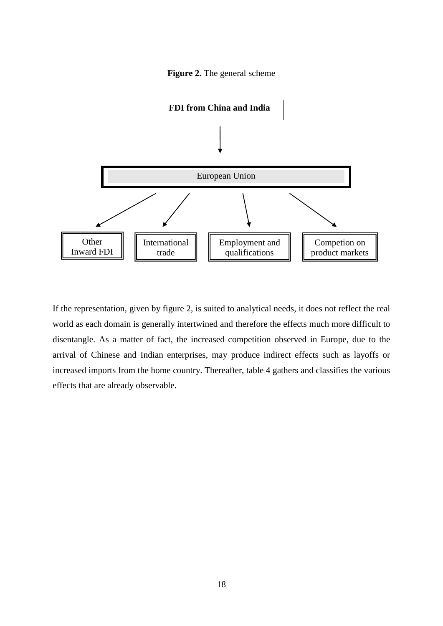



If the representation, given by figure 2, is suited to analytical needs, it does not reflect the real world as each domain is generally intertwined and therefore the effects much more difficult to disentangle. As a matter of fact, the increased competition observed in Europe, due to the arrival of Chinese and Indian enterprises, may produce indirect effects such as layoffs or increased imports from the home country. Thereafter, table 4 gathers and classifies the various effects that are already observable.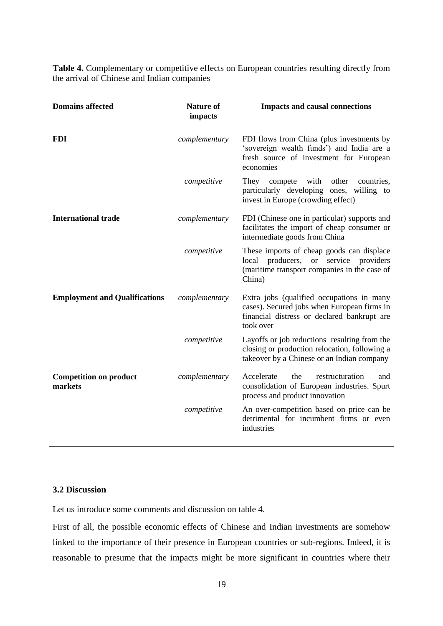| Table 4. Complementary or competitive effects on European countries resulting directly from |  |  |
|---------------------------------------------------------------------------------------------|--|--|
| the arrival of Chinese and Indian companies                                                 |  |  |

| <b>Domains affected</b>                  | <b>Nature of</b><br>impacts | <b>Impacts and causal connections</b>                                                                                                                |
|------------------------------------------|-----------------------------|------------------------------------------------------------------------------------------------------------------------------------------------------|
| <b>FDI</b>                               | complementary               | FDI flows from China (plus investments by<br>'sovereign wealth funds') and India are a<br>fresh source of investment for European<br>economies       |
|                                          | competitive                 | with<br>other<br>They<br>compete<br>countries,<br>particularly developing ones, willing to<br>invest in Europe (crowding effect)                     |
| <b>International trade</b>               | complementary               | FDI (Chinese one in particular) supports and<br>facilitates the import of cheap consumer or<br>intermediate goods from China                         |
|                                          | competitive                 | These imports of cheap goods can displace<br>local producers, or service providers<br>(maritime transport companies in the case of<br>China)         |
| <b>Employment and Qualifications</b>     | complementary               | Extra jobs (qualified occupations in many<br>cases). Secured jobs when European firms in<br>financial distress or declared bankrupt are<br>took over |
|                                          | competitive                 | Layoffs or job reductions resulting from the<br>closing or production relocation, following a<br>takeover by a Chinese or an Indian company          |
| <b>Competition on product</b><br>markets | complementary               | Accelerate<br>the<br>restructuration<br>and<br>consolidation of European industries. Spurt<br>process and product innovation                         |
|                                          | competitive                 | An over-competition based on price can be<br>detrimental for incumbent firms or even<br>industries                                                   |

#### **3.2 Discussion**

Let us introduce some comments and discussion on table 4.

First of all, the possible economic effects of Chinese and Indian investments are somehow linked to the importance of their presence in European countries or sub-regions. Indeed, it is reasonable to presume that the impacts might be more significant in countries where their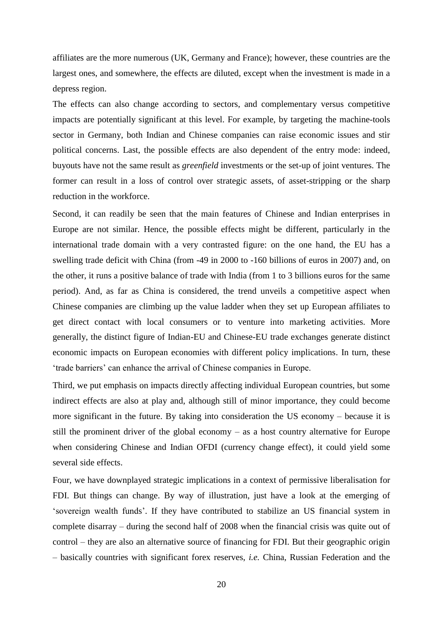affiliates are the more numerous (UK, Germany and France); however, these countries are the largest ones, and somewhere, the effects are diluted, except when the investment is made in a depress region.

The effects can also change according to sectors, and complementary versus competitive impacts are potentially significant at this level. For example, by targeting the machine-tools sector in Germany, both Indian and Chinese companies can raise economic issues and stir political concerns. Last, the possible effects are also dependent of the entry mode: indeed, buyouts have not the same result as *greenfield* investments or the set-up of joint ventures. The former can result in a loss of control over strategic assets, of asset-stripping or the sharp reduction in the workforce.

Second, it can readily be seen that the main features of Chinese and Indian enterprises in Europe are not similar. Hence, the possible effects might be different, particularly in the international trade domain with a very contrasted figure: on the one hand, the EU has a swelling trade deficit with China (from -49 in 2000 to -160 billions of euros in 2007) and, on the other, it runs a positive balance of trade with India (from 1 to 3 billions euros for the same period). And, as far as China is considered, the trend unveils a competitive aspect when Chinese companies are climbing up the value ladder when they set up European affiliates to get direct contact with local consumers or to venture into marketing activities. More generally, the distinct figure of Indian-EU and Chinese-EU trade exchanges generate distinct economic impacts on European economies with different policy implications. In turn, these ‗trade barriers' can enhance the arrival of Chinese companies in Europe.

Third, we put emphasis on impacts directly affecting individual European countries, but some indirect effects are also at play and, although still of minor importance, they could become more significant in the future. By taking into consideration the US economy – because it is still the prominent driver of the global economy – as a host country alternative for Europe when considering Chinese and Indian OFDI (currency change effect), it could yield some several side effects.

Four, we have downplayed strategic implications in a context of permissive liberalisation for FDI. But things can change. By way of illustration, just have a look at the emerging of ‗sovereign wealth funds'. If they have contributed to stabilize an US financial system in complete disarray – during the second half of 2008 when the financial crisis was quite out of control – they are also an alternative source of financing for FDI. But their geographic origin – basically countries with significant forex reserves, *i.e.* China, Russian Federation and the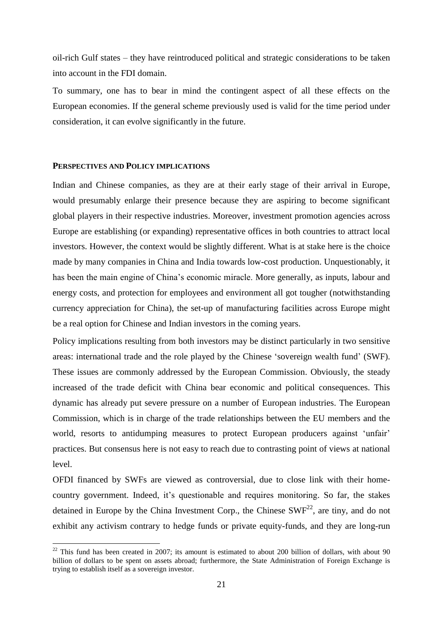oil-rich Gulf states – they have reintroduced political and strategic considerations to be taken into account in the FDI domain.

To summary, one has to bear in mind the contingent aspect of all these effects on the European economies. If the general scheme previously used is valid for the time period under consideration, it can evolve significantly in the future.

#### **PERSPECTIVES AND POLICY IMPLICATIONS**

1

Indian and Chinese companies, as they are at their early stage of their arrival in Europe, would presumably enlarge their presence because they are aspiring to become significant global players in their respective industries. Moreover, investment promotion agencies across Europe are establishing (or expanding) representative offices in both countries to attract local investors. However, the context would be slightly different. What is at stake here is the choice made by many companies in China and India towards low-cost production. Unquestionably, it has been the main engine of China's economic miracle. More generally, as inputs, labour and energy costs, and protection for employees and environment all got tougher (notwithstanding currency appreciation for China), the set-up of manufacturing facilities across Europe might be a real option for Chinese and Indian investors in the coming years.

Policy implications resulting from both investors may be distinct particularly in two sensitive areas: international trade and the role played by the Chinese ‗sovereign wealth fund' (SWF). These issues are commonly addressed by the European Commission. Obviously, the steady increased of the trade deficit with China bear economic and political consequences. This dynamic has already put severe pressure on a number of European industries. The European Commission, which is in charge of the trade relationships between the EU members and the world, resorts to antidumping measures to protect European producers against 'unfair' practices. But consensus here is not easy to reach due to contrasting point of views at national level.

OFDI financed by SWFs are viewed as controversial, due to close link with their homecountry government. Indeed, it's questionable and requires monitoring. So far, the stakes detained in Europe by the China Investment Corp., the Chinese  $SWF<sup>22</sup>$ , are tiny, and do not exhibit any activism contrary to hedge funds or private equity-funds, and they are long-run

 $22$  This fund has been created in 2007; its amount is estimated to about 200 billion of dollars, with about 90 billion of dollars to be spent on assets abroad; furthermore, the State Administration of Foreign Exchange is trying to establish itself as a sovereign investor.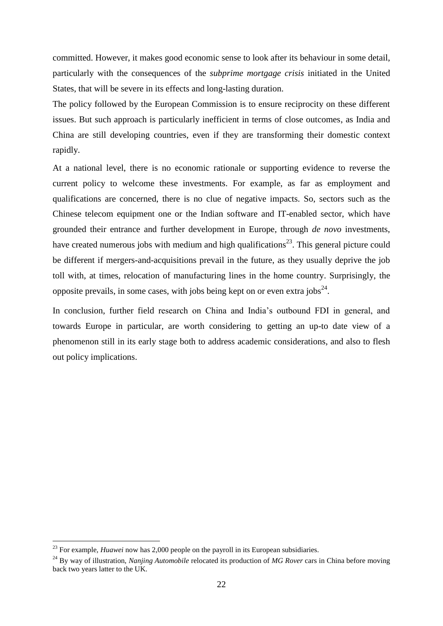committed. However, it makes good economic sense to look after its behaviour in some detail, particularly with the consequences of the *subprime mortgage crisis* initiated in the United States, that will be severe in its effects and long-lasting duration.

The policy followed by the European Commission is to ensure reciprocity on these different issues. But such approach is particularly inefficient in terms of close outcomes, as India and China are still developing countries, even if they are transforming their domestic context rapidly.

At a national level, there is no economic rationale or supporting evidence to reverse the current policy to welcome these investments. For example, as far as employment and qualifications are concerned, there is no clue of negative impacts. So, sectors such as the Chinese telecom equipment one or the Indian software and IT-enabled sector, which have grounded their entrance and further development in Europe, through *de novo* investments, have created numerous jobs with medium and high qualifications<sup>23</sup>. This general picture could be different if mergers-and-acquisitions prevail in the future, as they usually deprive the job toll with, at times, relocation of manufacturing lines in the home country. Surprisingly, the opposite prevails, in some cases, with jobs being kept on or even extra jobs<sup>24</sup>.

In conclusion, further field research on China and India's outbound FDI in general, and towards Europe in particular, are worth considering to getting an up-to date view of a phenomenon still in its early stage both to address academic considerations, and also to flesh out policy implications.

<sup>&</sup>lt;sup>23</sup> For example, *Huawei* now has 2,000 people on the payroll in its European subsidiaries.

<sup>24</sup> By way of illustration, *Nanjing Automobile* relocated its production of *MG Rover* cars in China before moving back two years latter to the UK.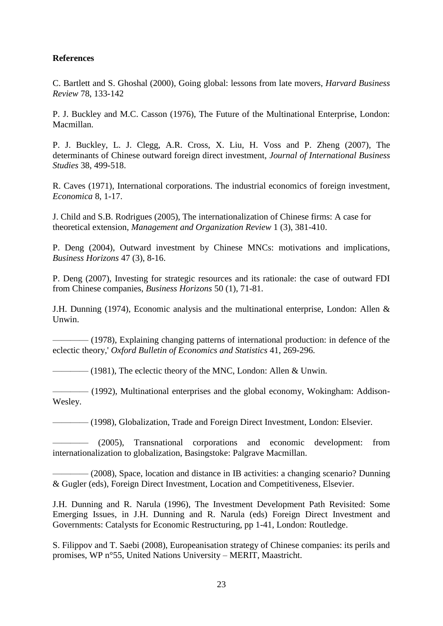#### **References**

C. Bartlett and S. Ghoshal (2000), Going global: lessons from late movers, *Harvard Business Review* 78, 133-142

P. J. Buckley and M.C. Casson (1976), The Future of the Multinational Enterprise, London: Macmillan.

P. J. Buckley, L. J. Clegg, A.R. Cross, X. Liu, H. Voss and P. Zheng (2007), The determinants of Chinese outward foreign direct investment, *Journal of International Business Studies* 38, 499-518.

R. Caves (1971), International corporations. The industrial economics of foreign investment, *Economica* 8, 1-17.

J. Child and S.B. Rodrigues (2005), The internationalization of Chinese firms: A case for theoretical extension, *Management and Organization Review* 1 (3), 381-410.

P. Deng (2004), Outward investment by Chinese MNCs: motivations and implications, *Business Horizons* 47 (3), 8-16.

P. Deng (2007), Investing for strategic resources and its rationale: the case of outward FDI from Chinese companies, *Business Horizons* 50 (1), 71-81.

J.H. Dunning (1974), Economic analysis and the multinational enterprise, London: Allen & Unwin.

———— (1978), Explaining changing patterns of international production: in defence of the eclectic theory,' *Oxford Bulletin of Economics and Statistics* 41, 269-296.

———— (1981), The eclectic theory of the MNC, London: Allen & Unwin.

———— (1992), Multinational enterprises and the global economy, Wokingham: Addison-Wesley.

———— (1998), Globalization, Trade and Foreign Direct Investment, London: Elsevier.

———— (2005), Transnational corporations and economic development: from internationalization to globalization, Basingstoke: Palgrave Macmillan.

———— (2008), Space, location and distance in IB activities: a changing scenario? Dunning & Gugler (eds), Foreign Direct Investment, Location and Competitiveness, Elsevier.

J.H. Dunning and R. Narula (1996), The Investment Development Path Revisited: Some Emerging Issues, in J.H. Dunning and R. Narula (eds) Foreign Direct Investment and Governments: Catalysts for Economic Restructuring, pp 1-41, London: Routledge.

S. Filippov and T. Saebi (2008), Europeanisation strategy of Chinese companies: its perils and promises, WP n°55, United Nations University – MERIT, Maastricht.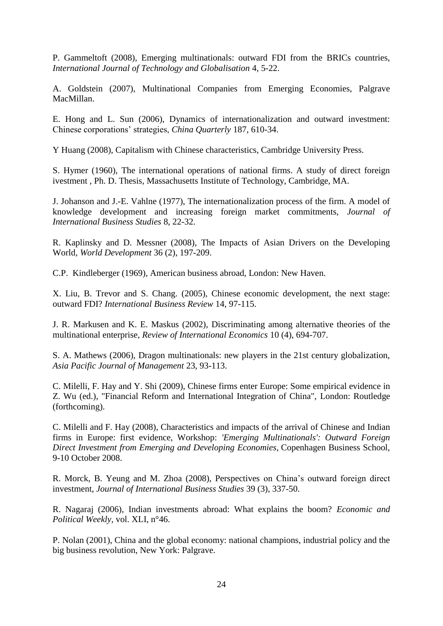P. Gammeltoft (2008), Emerging multinationals: outward FDI from the BRICs countries, *International Journal of Technology and Globalisation* 4, 5-22.

A. Goldstein (2007), Multinational Companies from Emerging Economies, Palgrave MacMillan.

E. Hong and L. Sun (2006), Dynamics of internationalization and outward investment: Chinese corporations' strategies, *China Quarterly* 187, 610-34.

Y Huang (2008), Capitalism with Chinese characteristics, Cambridge University Press.

S. Hymer (1960), The international operations of national firms. A study of direct foreign ivestment , Ph. D. Thesis, Massachusetts Institute of Technology, Cambridge, MA.

J. Johanson and J.-E. Vahlne (1977), The internationalization process of the firm. A model of knowledge development and increasing foreign market commitments, *Journal of International Business Studies* 8, 22-32.

R. Kaplinsky and D. Messner (2008), The Impacts of Asian Drivers on the Developing World, *World Development* 36 (2), 197-209.

C.P. Kindleberger (1969), American business abroad, London: New Haven.

X. Liu, B. Trevor and S. Chang. (2005), Chinese economic development, the next stage: outward FDI? *International Business Review* 14, 97-115.

J. R. Markusen and K. E. Maskus (2002), Discriminating among alternative theories of the multinational enterprise, *Review of International Economics* 10 (4), 694-707.

S. A. Mathews (2006), Dragon multinationals: new players in the 21st century globalization, *Asia Pacific Journal of Management* 23, 93-113.

C. Milelli, F. Hay and Y. Shi (2009), Chinese firms enter Europe: Some empirical evidence in Z. Wu (ed.), "Financial Reform and International Integration of China", London: Routledge (forthcoming).

C. Milelli and F. Hay (2008), Characteristics and impacts of the arrival of Chinese and Indian firms in Europe: first evidence, Workshop: *'Emerging Multinationals': Outward Foreign Direct Investment from Emerging and Developing Economies*, Copenhagen Business School, 9-10 October 2008.

R. Morck, B. Yeung and M. Zhoa (2008), Perspectives on China's outward foreign direct investment, *Journal of International Business Studies* 39 (3), 337-50.

R. Nagaraj (2006), Indian investments abroad: What explains the boom? *Economic and Political Weekly,* vol. XLI, n°46.

P. Nolan (2001), China and the global economy: national champions, industrial policy and the big business revolution, New York: Palgrave.